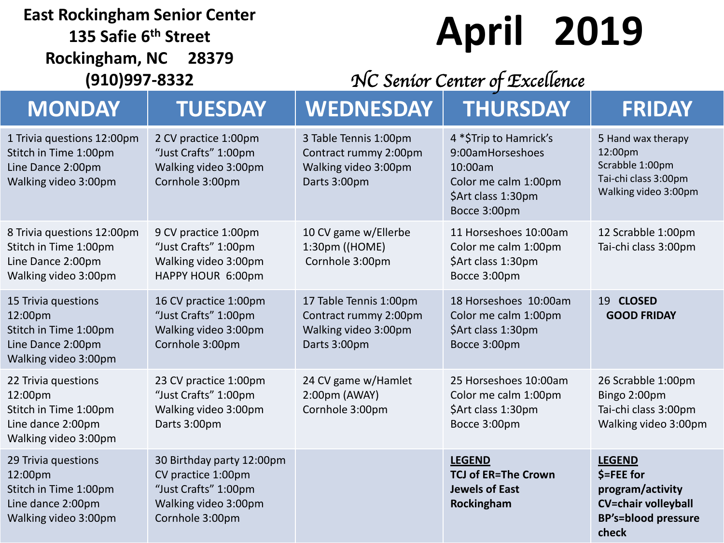#### **East Rockingham Senior Center**

**135 Safie 6 th Street Rockingham, NC 28379 (910)997-8332**

# **April 2019**

### *NC Senior Center of Excellence*

| <b>MONDAY</b>                                                                                        | <b>TUESDAY</b>                                                                                                     | <b>WEDNESDAY</b>                                                                        | <b>THURSDAY</b>                                                                                                     | <b>FRIDAY</b>                                                                                                          |
|------------------------------------------------------------------------------------------------------|--------------------------------------------------------------------------------------------------------------------|-----------------------------------------------------------------------------------------|---------------------------------------------------------------------------------------------------------------------|------------------------------------------------------------------------------------------------------------------------|
| 1 Trivia questions 12:00pm<br>Stitch in Time 1:00pm<br>Line Dance 2:00pm<br>Walking video 3:00pm     | 2 CV practice 1:00pm<br>"Just Crafts" 1:00pm<br>Walking video 3:00pm<br>Cornhole 3:00pm                            | 3 Table Tennis 1:00pm<br>Contract rummy 2:00pm<br>Walking video 3:00pm<br>Darts 3:00pm  | 4 *\$Trip to Hamrick's<br>9:00amHorseshoes<br>10:00am<br>Color me calm 1:00pm<br>\$Art class 1:30pm<br>Bocce 3:00pm | 5 Hand wax therapy<br>12:00pm<br>Scrabble 1:00pm<br>Tai-chi class 3:00pm<br>Walking video 3:00pm                       |
| 8 Trivia questions 12:00pm<br>Stitch in Time 1:00pm<br>Line Dance 2:00pm<br>Walking video 3:00pm     | 9 CV practice 1:00pm<br>"Just Crafts" 1:00pm<br>Walking video 3:00pm<br>HAPPY HOUR 6:00pm                          | 10 CV game w/Ellerbe<br>1:30pm ((HOME)<br>Cornhole 3:00pm                               | 11 Horseshoes 10:00am<br>Color me calm 1:00pm<br>\$Art class 1:30pm<br>Bocce 3:00pm                                 | 12 Scrabble 1:00pm<br>Tai-chi class 3:00pm                                                                             |
| 15 Trivia questions<br>12:00pm<br>Stitch in Time 1:00pm<br>Line Dance 2:00pm<br>Walking video 3:00pm | 16 CV practice 1:00pm<br>"Just Crafts" 1:00pm<br>Walking video 3:00pm<br>Cornhole 3:00pm                           | 17 Table Tennis 1:00pm<br>Contract rummy 2:00pm<br>Walking video 3:00pm<br>Darts 3:00pm | 18 Horseshoes 10:00am<br>Color me calm 1:00pm<br>\$Art class 1:30pm<br>Bocce 3:00pm                                 | 19 CLOSED<br><b>GOOD FRIDAY</b>                                                                                        |
| 22 Trivia questions<br>12:00pm<br>Stitch in Time 1:00pm<br>Line dance 2:00pm<br>Walking video 3:00pm | 23 CV practice 1:00pm<br>"Just Crafts" 1:00pm<br>Walking video 3:00pm<br>Darts 3:00pm                              | 24 CV game w/Hamlet<br>2:00pm (AWAY)<br>Cornhole 3:00pm                                 | 25 Horseshoes 10:00am<br>Color me calm 1:00pm<br>\$Art class 1:30pm<br>Bocce 3:00pm                                 | 26 Scrabble 1:00pm<br>Bingo 2:00pm<br>Tai-chi class 3:00pm<br>Walking video 3:00pm                                     |
| 29 Trivia questions<br>12:00pm<br>Stitch in Time 1:00pm<br>Line dance 2:00pm<br>Walking video 3:00pm | 30 Birthday party 12:00pm<br>CV practice 1:00pm<br>"Just Crafts" 1:00pm<br>Walking video 3:00pm<br>Cornhole 3:00pm |                                                                                         | <b>LEGEND</b><br><b>TCJ of ER=The Crown</b><br><b>Jewels of East</b><br>Rockingham                                  | <b>LEGEND</b><br>$$=$ FEE for<br>program/activity<br><b>CV=chair volleyball</b><br><b>BP's=blood pressure</b><br>check |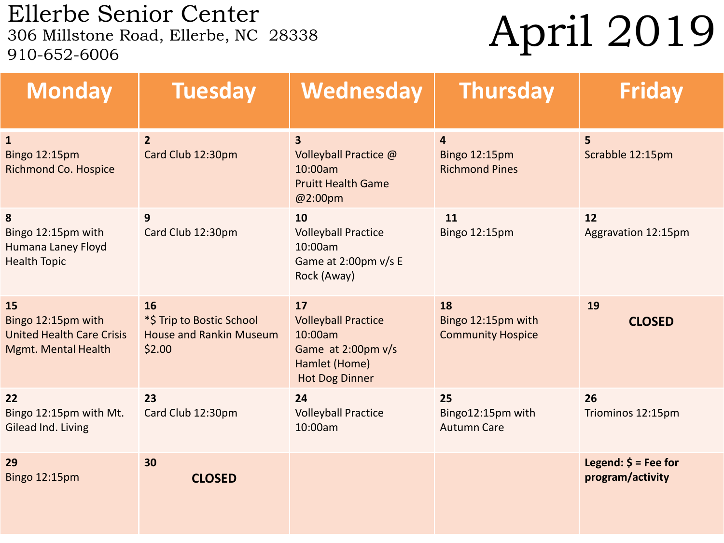Ellerbe Senior Center<br>306 Millstone Road, Ellerbe, NC 28338 910-652-6006

## April 2019

| <b>Monday</b>                                                                              | <b>Tuesday</b>                                                              | Wednesday                                                                                                   | <b>Thursday</b>                                                 | <b>Friday</b>                                       |
|--------------------------------------------------------------------------------------------|-----------------------------------------------------------------------------|-------------------------------------------------------------------------------------------------------------|-----------------------------------------------------------------|-----------------------------------------------------|
| $\mathbf{1}$<br><b>Bingo 12:15pm</b><br><b>Richmond Co. Hospice</b>                        | $\overline{2}$<br>Card Club 12:30pm                                         | $\overline{\mathbf{3}}$<br>Volleyball Practice @<br>10:00am<br><b>Pruitt Health Game</b><br>@2:00pm         | $\overline{4}$<br><b>Bingo 12:15pm</b><br><b>Richmond Pines</b> | 5<br>Scrabble 12:15pm                               |
| 8<br>Bingo 12:15pm with<br>Humana Laney Floyd<br><b>Health Topic</b>                       | 9<br>Card Club 12:30pm                                                      | 10<br><b>Volleyball Practice</b><br>10:00am<br>Game at 2:00pm v/s E<br>Rock (Away)                          | 11<br>Bingo 12:15pm                                             | 12<br>Aggravation 12:15pm                           |
| 15<br>Bingo 12:15pm with<br><b>United Health Care Crisis</b><br><b>Mgmt. Mental Health</b> | 16<br>*\$ Trip to Bostic School<br><b>House and Rankin Museum</b><br>\$2.00 | 17<br><b>Volleyball Practice</b><br>10:00am<br>Game at 2:00pm v/s<br>Hamlet (Home)<br><b>Hot Dog Dinner</b> | 18<br>Bingo 12:15pm with<br><b>Community Hospice</b>            | 19<br><b>CLOSED</b>                                 |
| 22<br>Bingo 12:15pm with Mt.<br>Gilead Ind. Living                                         | 23<br>Card Club 12:30pm                                                     | 24<br><b>Volleyball Practice</b><br>10:00am                                                                 | 25<br>Bingo12:15pm with<br><b>Autumn Care</b>                   | 26<br>Triominos 12:15pm                             |
| 29<br><b>Bingo 12:15pm</b>                                                                 | 30<br><b>CLOSED</b>                                                         |                                                                                                             |                                                                 | Legend: $\frac{2}{7}$ = Fee for<br>program/activity |